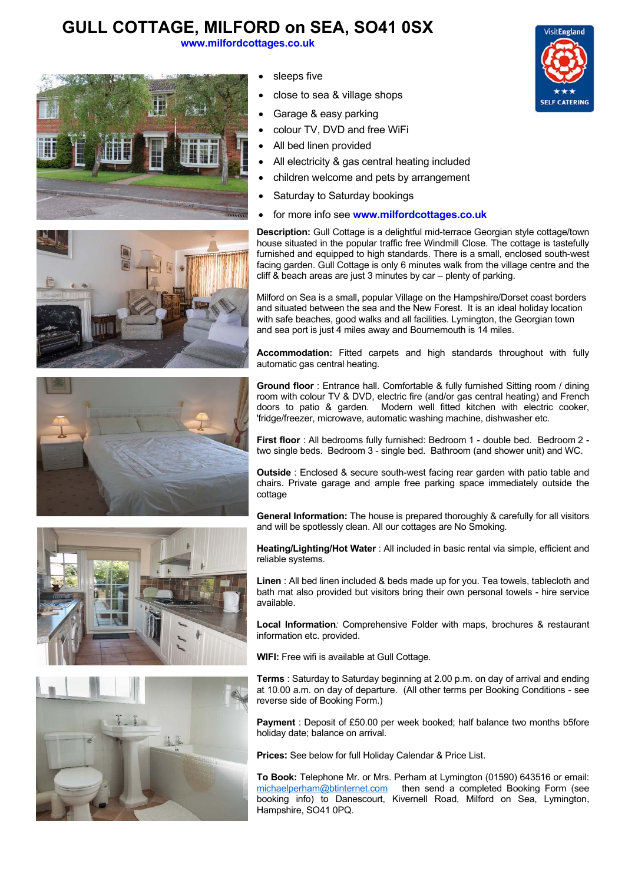## **GULL COTTAGE, MILFORD on SEA, SO41 0SX**

**www.milfordcottages.co.uk**





- All electricity & gas central heating included
- children welcome and pets by arrangement
- Saturday to Saturday bookings
- for more info see **www.milfordcottages.co.uk**











**Description:** Gull Cottage is a delightful mid-terrace Georgian style cottage/town house situated in the popular traffic free Windmill Close. The cottage is tastefully furnished and equipped to high standards. There is a small, enclosed south-west facing garden. Gull Cottage is only 6 minutes walk from the village centre and the cliff & beach areas are just 3 minutes by car – plenty of parking.

Milford on Sea is a small, popular Village on the Hampshire/Dorset coast borders and situated between the sea and the New Forest. It is an ideal holiday location with safe beaches, good walks and all facilities. Lymington, the Georgian town and sea port is just 4 miles away and Bournemouth is 14 miles.

**Accommodation:** Fitted carpets and high standards throughout with fully automatic gas central heating.

**Ground floor** : Entrance hall. Comfortable & fully furnished Sitting room / dining room with colour TV & DVD, electric fire (and/or gas central heating) and French doors to patio & garden. Modern well fitted kitchen with electric cooker, 'fridge/freezer, microwave, automatic washing machine, dishwasher etc.

**First floor** : All bedrooms fully furnished: Bedroom 1 - double bed. Bedroom 2 two single beds. Bedroom 3 - single bed. Bathroom (and shower unit) and WC.

**Outside** : Enclosed & secure south-west facing rear garden with patio table and chairs. Private garage and ample free parking space immediately outside the cottage

**General Information:** The house is prepared thoroughly & carefully for all visitors and will be spotlessly clean. All our cottages are No Smoking*.* 

**Heating/Lighting/Hot Water** : All included in basic rental via simple, efficient and reliable systems.

**Linen** : All bed linen included & beds made up for you. Tea towels, tablecloth and bath mat also provided but visitors bring their own personal towels - hire service available.

**Local Information***:* Comprehensive Folder with maps, brochures & restaurant information etc. provided.

**WIFI:** Free wifi is available at Gull Cottage.

**Terms** : Saturday to Saturday beginning at 2.00 p.m. on day of arrival and ending at 10.00 a.m. on day of departure. (All other terms per Booking Conditions - see reverse side of Booking Form.)

**Payment** : Deposit of £50.00 per week booked; half balance two months b5fore holiday date; balance on arrival.

**Prices:** See below for full Holiday Calendar & Price List.

**To Book:** Telephone Mr. or Mrs. Perham at Lymington (01590) 643516 or email: michaelperham@btinternet.com then send a completed Booking Form (see booking info) to Danescourt, Kivernell Road, Milford on Sea, Lymington, Hampshire, SO41 0PQ.